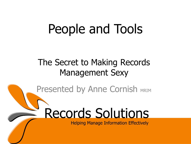# People and Tools

#### The Secret to Making Records Management Sexy

Presented by Anne Cornish MRIM

# Records Solutions

**Helping Manage Information Effectively**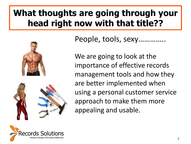#### **What thoughts are going through your head right now with that title??**



People, tools, sexy......

We are going to look at the importance of effective records management tools and how they are better implemented when using a personal customer service approach to make them more appealing and usable.

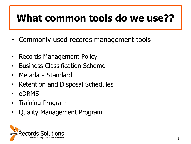## **What common tools do we use??**

- Commonly used records management tools
- Records Management Policy
- Business Classification Scheme
- Metadata Standard
- Retention and Disposal Schedules
- eDRMS
- Training Program
- Quality Management Program

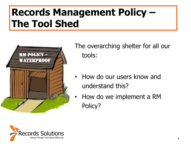## **Records Management Policy – The Tool Shed**



The overarching shelter for all our tools:

- How do our users know and understand this?
- How do we implement a RM Policy?

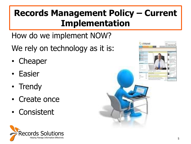#### **Records Management Policy – Current Implementation**

How do we implement NOW?

We rely on technology as it is:

- Cheaper
- Easier
- Trendy
- Create once
- Consistent



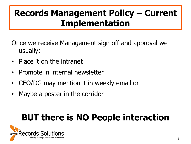#### **Records Management Policy – Current Implementation**

Once we receive Management sign off and approval we usually:

- Place it on the intranet
- Promote in internal newsletter
- CEO/DG may mention it in weekly email or
- Maybe a poster in the corridor

### **BUT there is NO People interaction**

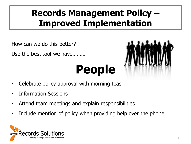#### **Records Management Policy – Improved Implementation**

How can we do this better?

Use the best tool we have………

# **People**



- Celebrate policy approval with morning teas
- Information Sessions
- Attend team meetings and explain responsibilities
- Include mention of policy when providing help over the phone.

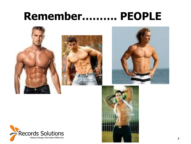## **Remember………. PEOPLE**





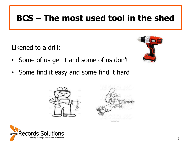#### **BCS – The most used tool in the shed**

Likened to a drill:

- 
- Some of us get it and some of us don't
- Some find it easy and some find it hard



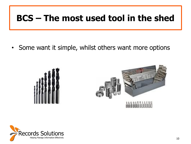#### **BCS – The most used tool in the shed**

• Some want it simple, whilst others want more options





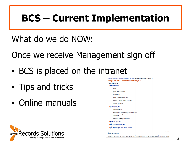## **BCS – Current Implementation**

What do we do NOW:

Once we receive Management sign off

- BCS is placed on the intranet
- Tips and tricks
- Online manuals



**Table of Contents**  $\triangleright$  Executive summan  $\triangleright$  Introduction  $\leftarrow$  Purpose - Authority Eegal and regulatory framework  $\sim$  Standards Acknowledgements What are classification tools? Business Classification Scheme (BCS)  $\leftarrow$  Thesaurus Fransposing Thesaurus Terms into a BCS format Eusiness Classification System versus Thesaurus Elmitations of thesauruses - Recommendation  $\triangleright$  Development of a BCS  $\triangleright$  Collect information Identify existing record Research source documents Research business information systems used in the organisation Interview selected managers and staff  $\leftarrow$  Questions to ask - Analyse ► Confirm draft business classification scheme Industry accepted classification schemes Approval of classification  $\triangleright$  Implement and promote Align classification with disposal Align security and access classifications ▶ Use of classifications for work process purposes Monitor the classification tool **Executive summary** 

Home > NTG IT and Communications Services > Records Policy and Standards > Using a Business Classification Scheme (BCS)

**Using a Business Classification Scheme (BCS)** 

back to top

As a result of the move to full electronic document and records management (EDRM) functionality in the NTG, the Records Policy Unit of DCIS (the Records a result of the move to full electronic document and records management (EDRM) functionality in the NTG, the Records Policy Unit of DCIS (the Records<br>Vice under the information Act) recommends that agencies change the meth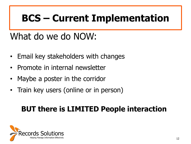## **BCS – Current Implementation**

#### What do we do NOW:

- Email key stakeholders with changes
- Promote in internal newsletter
- Maybe a poster in the corridor
- Train key users (online or in person)

#### **BUT there is LIMITED People interaction**

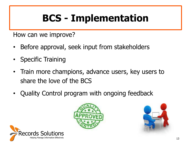## **BCS - Implementation**

How can we improve?

- Before approval, seek input from stakeholders
- **Specific Training**
- Train more champions, advance users, key users to share the love of the BCS
- Quality Control program with ongoing feedback





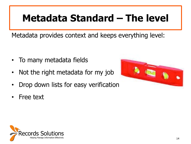## **Metadata Standard – The level**

Metadata provides context and keeps everything level:

- To many metadata fields
- Not the right metadata for my job
- Drop down lists for easy verification
- Free text



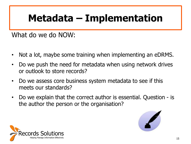## **Metadata – Implementation**

#### What do we do NOW:

- Not a lot, maybe some training when implementing an eDRMS.
- Do we push the need for metadata when using network drives or outlook to store records?
- Do we assess core business system metadata to see if this meets our standards?
- Do we explain that the correct author is essential. Question is the author the person or the organisation?



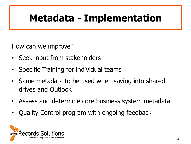## **Metadata - Implementation**

How can we improve?

- Seek input from stakeholders
- Specific Training for individual teams
- Same metadata to be used when saving into shared drives and Outlook
- Assess and determine core business system metadata
- Quality Control program with ongoing feedback

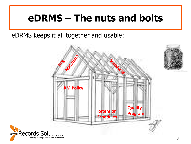### **eDRMS – The nuts and bolts**

eDRMS keeps it all together and usable:



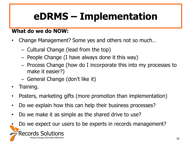## **eDRMS – Implementation**

#### **What do we do NOW:**

- Change Management? Some yes and others not so much…
	- Cultural Change (lead from the top)
	- People Change (I have always done it this way)
	- Process Change (how do I incorporate this into my processes to make it easier?)
	- General Change (don't like it)
- Training.
- Posters, marketing gifts (more promotion than implementation)
- Do we explain how this can help their business processes?
- Do we make it as simple as the shared drive to use?
- Do we expect our users to be experts in records management?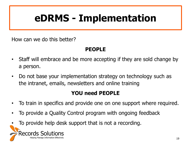## **eDRMS - Implementation**

How can we do this better?

#### **PEOPLE**

- Staff will embrace and be more accepting if they are sold change by a person.
- Do not base your implementation strategy on technology such as the intranet, emails, newsletters and online training

#### **YOU need PEOPLE**

- To train in specifics and provide one on one support where required.
- To provide a Quality Control program with ongoing feedback
- To provide help desk support that is not a recording.

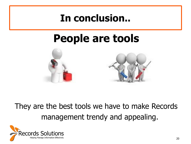#### **In conclusion..**

## **People are tools**



#### They are the best tools we have to make Records management trendy and appealing.